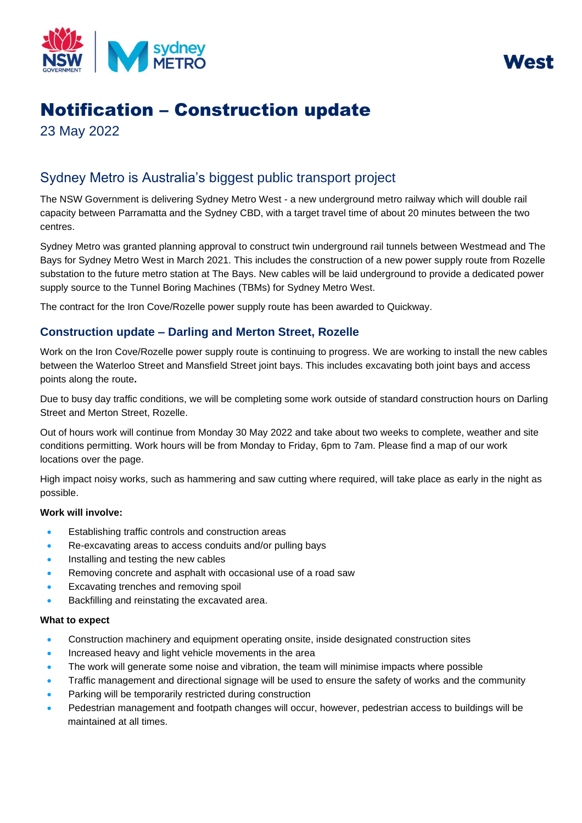



# Notification – Construction update

23 May 2022

# Sydney Metro is Australia's biggest public transport project

The NSW Government is delivering Sydney Metro West - a new underground metro railway which will double rail capacity between Parramatta and the Sydney CBD, with a target travel time of about 20 minutes between the two centres.

Sydney Metro was granted planning approval to construct twin underground rail tunnels between Westmead and The Bays for Sydney Metro West in March 2021. This includes the construction of a new power supply route from Rozelle substation to the future metro station at The Bays. New cables will be laid underground to provide a dedicated power supply source to the Tunnel Boring Machines (TBMs) for Sydney Metro West.

The contract for the Iron Cove/Rozelle power supply route has been awarded to Quickway.

## **Construction update – Darling and Merton Street, Rozelle**

Work on the Iron Cove/Rozelle power supply route is continuing to progress. We are working to install the new cables between the Waterloo Street and Mansfield Street joint bays. This includes excavating both joint bays and access points along the route**.** 

Due to busy day traffic conditions, we will be completing some work outside of standard construction hours on Darling Street and Merton Street, Rozelle.

Out of hours work will continue from Monday 30 May 2022 and take about two weeks to complete, weather and site conditions permitting. Work hours will be from Monday to Friday, 6pm to 7am. Please find a map of our work locations over the page.

High impact noisy works, such as hammering and saw cutting where required, will take place as early in the night as possible.

### **Work will involve:**

- Establishing traffic controls and construction areas
- Re-excavating areas to access conduits and/or pulling bays
- Installing and testing the new cables
- Removing concrete and asphalt with occasional use of a road saw
- Excavating trenches and removing spoil
- Backfilling and reinstating the excavated area.

#### **What to expect**

- Construction machinery and equipment operating onsite, inside designated construction sites
- Increased heavy and light vehicle movements in the area
- The work will generate some noise and vibration, the team will minimise impacts where possible
- Traffic management and directional signage will be used to ensure the safety of works and the community
- Parking will be temporarily restricted during construction
- Pedestrian management and footpath changes will occur, however, pedestrian access to buildings will be maintained at all times.